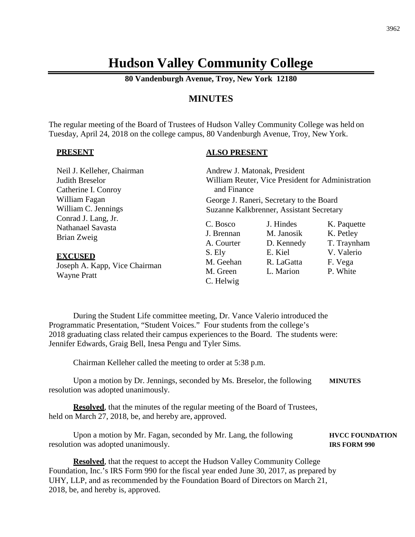# **Hudson Valley Community College**

**80 Vandenburgh Avenue, Troy, New York 12180**

# **MINUTES**

The regular meeting of the Board of Trustees of Hudson Valley Community College was held on Tuesday, April 24, 2018 on the college campus, 80 Vandenburgh Avenue, Troy, New York.

#### **PRESENT**

# **ALSO PRESENT**

| Neil J. Kelleher, Chairman<br>Judith Breselor<br>Catherine I. Conroy | Andrew J. Matonak, President<br>and Finance | William Reuter, Vice President for Administration |             |  |
|----------------------------------------------------------------------|---------------------------------------------|---------------------------------------------------|-------------|--|
| William Fagan<br>William C. Jennings                                 | George J. Raneri, Secretary to the Board    |                                                   |             |  |
| Conrad J. Lang, Jr.                                                  | Suzanne Kalkbrenner, Assistant Secretary    |                                                   |             |  |
| Nathanael Savasta                                                    | C. Bosco                                    | J. Hindes                                         | K. Paquette |  |
| Brian Zweig                                                          | J. Brennan                                  | M. Janosik                                        | K. Petley   |  |
|                                                                      | A. Courter                                  | D. Kennedy                                        | T. Traynham |  |
| <b>EXCUSED</b>                                                       | S. Ely                                      | E. Kiel                                           | V. Valerio  |  |
| Joseph A. Kapp, Vice Chairman                                        | M. Geehan                                   | R. LaGatta                                        | F. Vega     |  |
| <b>Wayne Pratt</b>                                                   | M. Green<br>C. Helwig                       | L. Marion                                         | P. White    |  |

During the Student Life committee meeting, Dr. Vance Valerio introduced the Programmatic Presentation, "Student Voices." Four students from the college's 2018 graduating class related their campus experiences to the Board. The students were: Jennifer Edwards, Graig Bell, Inesa Pengu and Tyler Sims.

Chairman Kelleher called the meeting to order at 5:38 p.m.

Upon a motion by Dr. Jennings, seconded by Ms. Breselor, the following **MINUTES** resolution was adopted unanimously.

**Resolved**, that the minutes of the regular meeting of the Board of Trustees, held on March 27, 2018, be, and hereby are, approved.

Upon a motion by Mr. Fagan, seconded by Mr. Lang, the following **HVCC FOUNDATION** resolution was adopted unanimously. **IRS FORM 990**

**Resolved**, that the request to accept the Hudson Valley Community College Foundation, Inc.'s IRS Form 990 for the fiscal year ended June 30, 2017, as prepared by UHY, LLP, and as recommended by the Foundation Board of Directors on March 21, 2018, be, and hereby is, approved.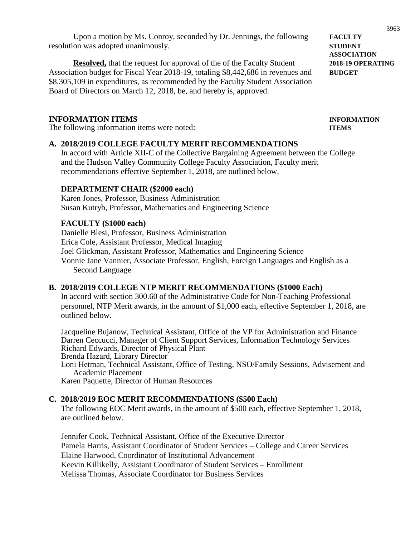Upon a motion by Ms. Conroy, seconded by Dr. Jennings, the following **FACULTY** resolution was adopted unanimously. **STUDENT**

**Resolved,** that the request for approval of the of the Faculty Student 2018-19 OPERATING Association budget for Fiscal Year 2018-19, totaling \$8,442,686 in revenues and **BUDGET** \$8,305,109 in expenditures, as recommended by the Faculty Student Association Board of Directors on March 12, 2018, be, and hereby is, approved.

# **INFORMATION ITEMS INFORMATION**

The following information items were noted: **ITEMS**

#### **A. 2018/2019 COLLEGE FACULTY MERIT RECOMMENDATIONS**

In accord with Article XII-C of the Collective Bargaining Agreement between the College and the Hudson Valley Community College Faculty Association, Faculty merit recommendations effective September 1, 2018, are outlined below.

#### **DEPARTMENT CHAIR (\$2000 each)**

Karen Jones, Professor, Business Administration Susan Kutryb, Professor, Mathematics and Engineering Science

# **FACULTY (\$1000 each)**

Danielle Blesi, Professor, Business Administration Erica Cole, Assistant Professor, Medical Imaging Joel Glickman, Assistant Professor, Mathematics and Engineering Science Vonnie Jane Vannier, Associate Professor, English, Foreign Languages and English as a Second Language

# **B. 2018/2019 COLLEGE NTP MERIT RECOMMENDATIONS (\$1000 Each)**

In accord with section 300.60 of the Administrative Code for Non-Teaching Professional personnel, NTP Merit awards, in the amount of \$1,000 each, effective September 1, 2018, are outlined below.

Jacqueline Bujanow, Technical Assistant, Office of the VP for Administration and Finance Darren Ceccucci, Manager of Client Support Services, Information Technology Services Richard Edwards, Director of Physical Plant Brenda Hazard, Library Director

Loni Hetman, Technical Assistant, Office of Testing, NSO/Family Sessions, Advisement and Academic Placement

Karen Paquette, Director of Human Resources

# **C. 2018/2019 EOC MERIT RECOMMENDATIONS (\$500 Each)**

The following EOC Merit awards, in the amount of \$500 each, effective September 1, 2018, are outlined below.

Jennifer Cook, Technical Assistant, Office of the Executive Director Pamela Harris, Assistant Coordinator of Student Services – College and Career Services Elaine Harwood, Coordinator of Institutional Advancement Keevin Killikelly, Assistant Coordinator of Student Services – Enrollment Melissa Thomas, Associate Coordinator for Business Services

**ASSOCIATION**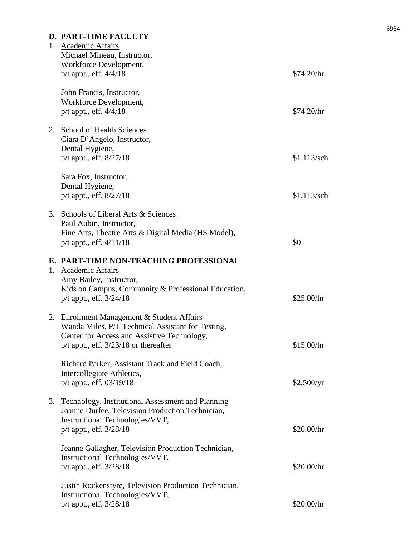# **D. PART-TIME FACULTY**

|    | 1. Academic Affairs<br>Michael Mineau, Instructor,<br>Workforce Development,<br>p/t appt., eff. 4/4/18                                                                                      | \$74.20/hr    |
|----|---------------------------------------------------------------------------------------------------------------------------------------------------------------------------------------------|---------------|
|    | John Francis, Instructor,<br>Workforce Development,<br>p/t appt., eff. 4/4/18                                                                                                               | \$74.20/hr    |
|    | 2. School of Health Sciences<br>Ciara D'Angelo, Instructor,<br>Dental Hygiene,<br>p/t appt., eff. 8/27/18                                                                                   | $$1,113$ /sch |
|    | Sara Fox, Instructor,<br>Dental Hygiene,<br>p/t appt., eff. 8/27/18                                                                                                                         | $$1,113$ /sch |
|    | 3. Schools of Liberal Arts & Sciences<br>Paul Aubin, Instructor,<br>Fine Arts, Theatre Arts & Digital Media (HS Model),<br>$p/t$ appt., eff. $4/11/18$                                      | \$0           |
|    | E. PART-TIME NON-TEACHING PROFESSIONAL<br>1. Academic Affairs<br>Amy Bailey, Instructor,<br>Kids on Campus, Community & Professional Education,<br>$p/t$ appt., eff. $3/24/18$              | \$25.00/hr    |
|    | 2. Enrollment Management & Student Affairs<br>Wanda Miles, P/T Technical Assistant for Testing,<br>Center for Access and Assistive Technology,<br>$p/t$ appt., eff. $3/23/18$ or thereafter | \$15.00/hr    |
|    | Richard Parker, Assistant Track and Field Coach,<br>Intercollegiate Athletics,<br>p/t appt., eff. 03/19/18                                                                                  | \$2,500/yr    |
| 3. | Technology, Institutional Assessment and Planning<br>Joanne Durfee, Television Production Technician,<br>Instructional Technologies/VVT,<br>p/t appt., eff. 3/28/18                         | \$20.00/hr    |
|    | Jeanne Gallagher, Television Production Technician,<br>Instructional Technologies/VVT,<br>p/t appt., eff. 3/28/18                                                                           | \$20.00/hr    |
|    | Justin Rockenstyre, Television Production Technician,<br>Instructional Technologies/VVT,<br>p/t appt., eff. 3/28/18                                                                         | \$20.00/hr    |